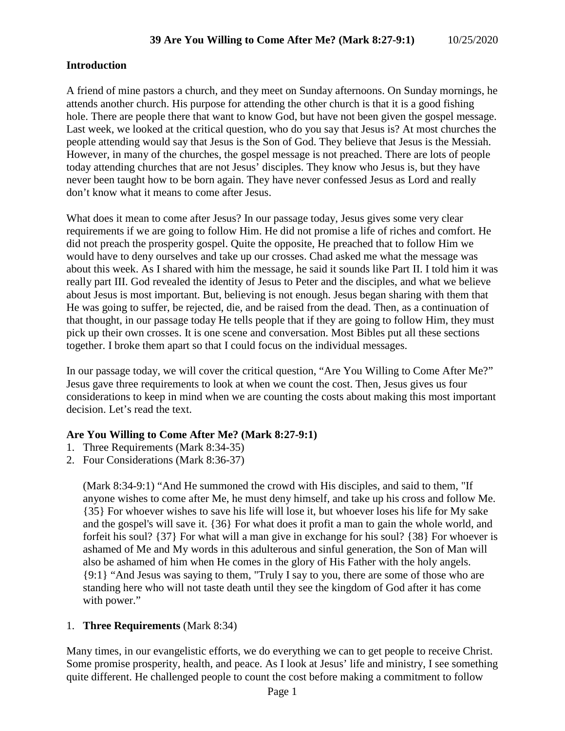### **Introduction**

A friend of mine pastors a church, and they meet on Sunday afternoons. On Sunday mornings, he attends another church. His purpose for attending the other church is that it is a good fishing hole. There are people there that want to know God, but have not been given the gospel message. Last week, we looked at the critical question, who do you say that Jesus is? At most churches the people attending would say that Jesus is the Son of God. They believe that Jesus is the Messiah. However, in many of the churches, the gospel message is not preached. There are lots of people today attending churches that are not Jesus' disciples. They know who Jesus is, but they have never been taught how to be born again. They have never confessed Jesus as Lord and really don't know what it means to come after Jesus.

What does it mean to come after Jesus? In our passage today, Jesus gives some very clear requirements if we are going to follow Him. He did not promise a life of riches and comfort. He did not preach the prosperity gospel. Quite the opposite, He preached that to follow Him we would have to deny ourselves and take up our crosses. Chad asked me what the message was about this week. As I shared with him the message, he said it sounds like Part II. I told him it was really part III. God revealed the identity of Jesus to Peter and the disciples, and what we believe about Jesus is most important. But, believing is not enough. Jesus began sharing with them that He was going to suffer, be rejected, die, and be raised from the dead. Then, as a continuation of that thought, in our passage today He tells people that if they are going to follow Him, they must pick up their own crosses. It is one scene and conversation. Most Bibles put all these sections together. I broke them apart so that I could focus on the individual messages.

In our passage today, we will cover the critical question, "Are You Willing to Come After Me?" Jesus gave three requirements to look at when we count the cost. Then, Jesus gives us four considerations to keep in mind when we are counting the costs about making this most important decision. Let's read the text.

### **Are You Willing to Come After Me? (Mark 8:27-9:1)**

- 1. Three Requirements (Mark 8:34-35)
- 2. Four Considerations (Mark 8:36-37)

(Mark 8:34-9:1) "And He summoned the crowd with His disciples, and said to them, "If anyone wishes to come after Me, he must deny himself, and take up his cross and follow Me. {35} For whoever wishes to save his life will lose it, but whoever loses his life for My sake and the gospel's will save it. {36} For what does it profit a man to gain the whole world, and forfeit his soul? {37} For what will a man give in exchange for his soul? {38} For whoever is ashamed of Me and My words in this adulterous and sinful generation, the Son of Man will also be ashamed of him when He comes in the glory of His Father with the holy angels. {9:1} "And Jesus was saying to them, "Truly I say to you, there are some of those who are standing here who will not taste death until they see the kingdom of God after it has come with power."

### 1. **Three Requirements** (Mark 8:34)

Many times, in our evangelistic efforts, we do everything we can to get people to receive Christ. Some promise prosperity, health, and peace. As I look at Jesus' life and ministry, I see something quite different. He challenged people to count the cost before making a commitment to follow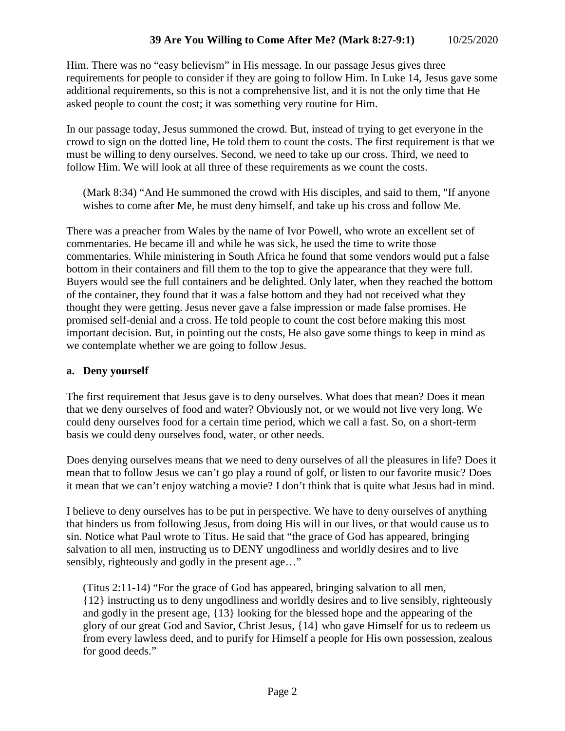Him. There was no "easy believism" in His message. In our passage Jesus gives three requirements for people to consider if they are going to follow Him. In Luke 14, Jesus gave some additional requirements, so this is not a comprehensive list, and it is not the only time that He asked people to count the cost; it was something very routine for Him.

In our passage today, Jesus summoned the crowd. But, instead of trying to get everyone in the crowd to sign on the dotted line, He told them to count the costs. The first requirement is that we must be willing to deny ourselves. Second, we need to take up our cross. Third, we need to follow Him. We will look at all three of these requirements as we count the costs.

(Mark 8:34) "And He summoned the crowd with His disciples, and said to them, "If anyone wishes to come after Me, he must deny himself, and take up his cross and follow Me.

There was a preacher from Wales by the name of Ivor Powell, who wrote an excellent set of commentaries. He became ill and while he was sick, he used the time to write those commentaries. While ministering in South Africa he found that some vendors would put a false bottom in their containers and fill them to the top to give the appearance that they were full. Buyers would see the full containers and be delighted. Only later, when they reached the bottom of the container, they found that it was a false bottom and they had not received what they thought they were getting. Jesus never gave a false impression or made false promises. He promised self-denial and a cross. He told people to count the cost before making this most important decision. But, in pointing out the costs, He also gave some things to keep in mind as we contemplate whether we are going to follow Jesus.

### **a. Deny yourself**

The first requirement that Jesus gave is to deny ourselves. What does that mean? Does it mean that we deny ourselves of food and water? Obviously not, or we would not live very long. We could deny ourselves food for a certain time period, which we call a fast. So, on a short-term basis we could deny ourselves food, water, or other needs.

Does denying ourselves means that we need to deny ourselves of all the pleasures in life? Does it mean that to follow Jesus we can't go play a round of golf, or listen to our favorite music? Does it mean that we can't enjoy watching a movie? I don't think that is quite what Jesus had in mind.

I believe to deny ourselves has to be put in perspective. We have to deny ourselves of anything that hinders us from following Jesus, from doing His will in our lives, or that would cause us to sin. Notice what Paul wrote to Titus. He said that "the grace of God has appeared, bringing salvation to all men, instructing us to DENY ungodliness and worldly desires and to live sensibly, righteously and godly in the present age…"

(Titus 2:11-14) "For the grace of God has appeared, bringing salvation to all men, {12} instructing us to deny ungodliness and worldly desires and to live sensibly, righteously and godly in the present age, {13} looking for the blessed hope and the appearing of the glory of our great God and Savior, Christ Jesus, {14} who gave Himself for us to redeem us from every lawless deed, and to purify for Himself a people for His own possession, zealous for good deeds."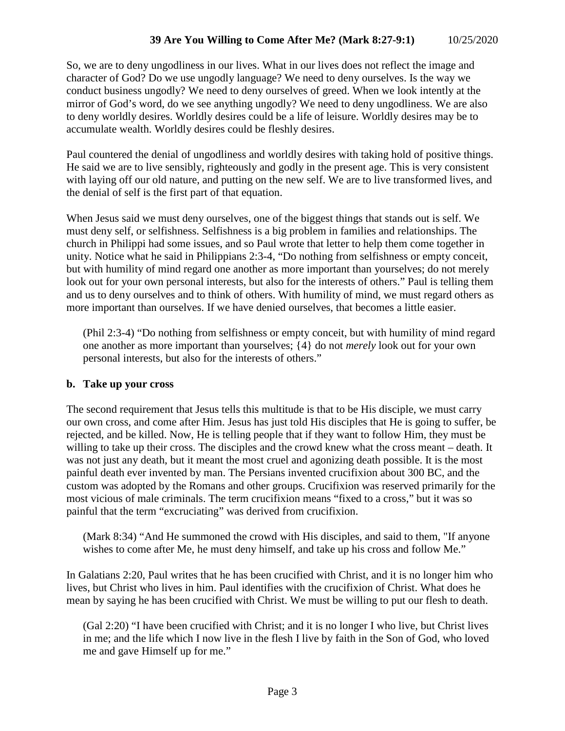So, we are to deny ungodliness in our lives. What in our lives does not reflect the image and character of God? Do we use ungodly language? We need to deny ourselves. Is the way we conduct business ungodly? We need to deny ourselves of greed. When we look intently at the mirror of God's word, do we see anything ungodly? We need to deny ungodliness. We are also to deny worldly desires. Worldly desires could be a life of leisure. Worldly desires may be to accumulate wealth. Worldly desires could be fleshly desires.

Paul countered the denial of ungodliness and worldly desires with taking hold of positive things. He said we are to live sensibly, righteously and godly in the present age. This is very consistent with laying off our old nature, and putting on the new self. We are to live transformed lives, and the denial of self is the first part of that equation.

When Jesus said we must deny ourselves, one of the biggest things that stands out is self. We must deny self, or selfishness. Selfishness is a big problem in families and relationships. The church in Philippi had some issues, and so Paul wrote that letter to help them come together in unity. Notice what he said in Philippians 2:3-4, "Do nothing from selfishness or empty conceit, but with humility of mind regard one another as more important than yourselves; do not merely look out for your own personal interests, but also for the interests of others." Paul is telling them and us to deny ourselves and to think of others. With humility of mind, we must regard others as more important than ourselves. If we have denied ourselves, that becomes a little easier.

(Phil 2:3-4) "Do nothing from selfishness or empty conceit, but with humility of mind regard one another as more important than yourselves; {4} do not *merely* look out for your own personal interests, but also for the interests of others."

# **b. Take up your cross**

The second requirement that Jesus tells this multitude is that to be His disciple, we must carry our own cross, and come after Him. Jesus has just told His disciples that He is going to suffer, be rejected, and be killed. Now, He is telling people that if they want to follow Him, they must be willing to take up their cross. The disciples and the crowd knew what the cross meant – death. It was not just any death, but it meant the most cruel and agonizing death possible. It is the most painful death ever invented by man. The Persians invented crucifixion about 300 BC, and the custom was adopted by the Romans and other groups. Crucifixion was reserved primarily for the most vicious of male criminals. The term crucifixion means "fixed to a cross," but it was so painful that the term "excruciating" was derived from crucifixion.

(Mark 8:34) "And He summoned the crowd with His disciples, and said to them, "If anyone wishes to come after Me, he must deny himself, and take up his cross and follow Me."

In Galatians 2:20, Paul writes that he has been crucified with Christ, and it is no longer him who lives, but Christ who lives in him. Paul identifies with the crucifixion of Christ. What does he mean by saying he has been crucified with Christ. We must be willing to put our flesh to death.

(Gal 2:20) "I have been crucified with Christ; and it is no longer I who live, but Christ lives in me; and the life which I now live in the flesh I live by faith in the Son of God, who loved me and gave Himself up for me."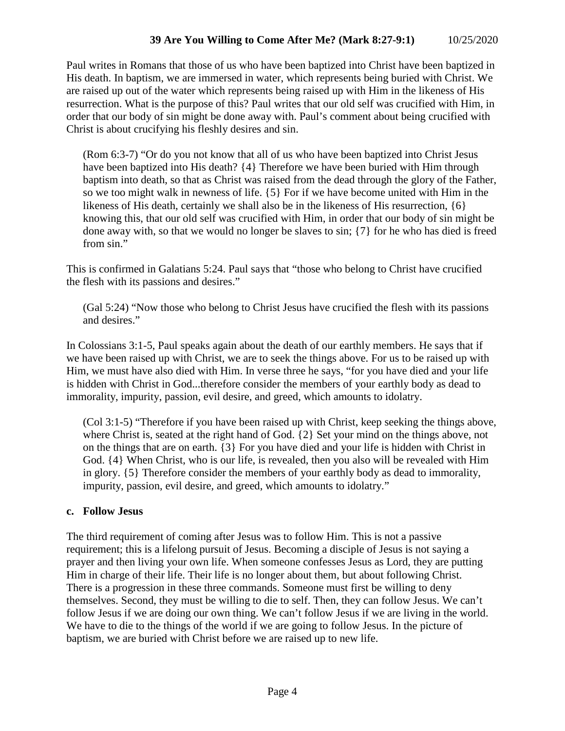Paul writes in Romans that those of us who have been baptized into Christ have been baptized in His death. In baptism, we are immersed in water, which represents being buried with Christ. We are raised up out of the water which represents being raised up with Him in the likeness of His resurrection. What is the purpose of this? Paul writes that our old self was crucified with Him, in order that our body of sin might be done away with. Paul's comment about being crucified with Christ is about crucifying his fleshly desires and sin.

(Rom 6:3-7) "Or do you not know that all of us who have been baptized into Christ Jesus have been baptized into His death? {4} Therefore we have been buried with Him through baptism into death, so that as Christ was raised from the dead through the glory of the Father, so we too might walk in newness of life. {5} For if we have become united with Him in the likeness of His death, certainly we shall also be in the likeness of His resurrection, {6} knowing this, that our old self was crucified with Him, in order that our body of sin might be done away with, so that we would no longer be slaves to sin; {7} for he who has died is freed from sin."

This is confirmed in Galatians 5:24. Paul says that "those who belong to Christ have crucified the flesh with its passions and desires."

(Gal 5:24) "Now those who belong to Christ Jesus have crucified the flesh with its passions and desires."

In Colossians 3:1-5, Paul speaks again about the death of our earthly members. He says that if we have been raised up with Christ, we are to seek the things above. For us to be raised up with Him, we must have also died with Him. In verse three he says, "for you have died and your life is hidden with Christ in God...therefore consider the members of your earthly body as dead to immorality, impurity, passion, evil desire, and greed, which amounts to idolatry.

(Col 3:1-5) "Therefore if you have been raised up with Christ, keep seeking the things above, where Christ is, seated at the right hand of God. {2} Set your mind on the things above, not on the things that are on earth. {3} For you have died and your life is hidden with Christ in God. {4} When Christ, who is our life, is revealed, then you also will be revealed with Him in glory. {5} Therefore consider the members of your earthly body as dead to immorality, impurity, passion, evil desire, and greed, which amounts to idolatry."

# **c. Follow Jesus**

The third requirement of coming after Jesus was to follow Him. This is not a passive requirement; this is a lifelong pursuit of Jesus. Becoming a disciple of Jesus is not saying a prayer and then living your own life. When someone confesses Jesus as Lord, they are putting Him in charge of their life. Their life is no longer about them, but about following Christ. There is a progression in these three commands. Someone must first be willing to deny themselves. Second, they must be willing to die to self. Then, they can follow Jesus. We can't follow Jesus if we are doing our own thing. We can't follow Jesus if we are living in the world. We have to die to the things of the world if we are going to follow Jesus. In the picture of baptism, we are buried with Christ before we are raised up to new life.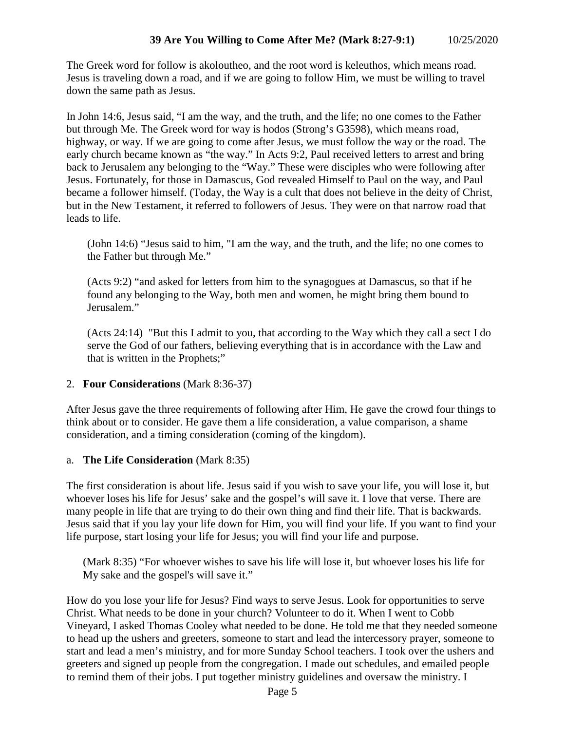The Greek word for follow is akoloutheo, and the root word is keleuthos, which means road. Jesus is traveling down a road, and if we are going to follow Him, we must be willing to travel down the same path as Jesus.

In John 14:6, Jesus said, "I am the way, and the truth, and the life; no one comes to the Father but through Me. The Greek word for way is hodos (Strong's G3598), which means road, highway, or way. If we are going to come after Jesus, we must follow the way or the road. The early church became known as "the way." In Acts 9:2, Paul received letters to arrest and bring back to Jerusalem any belonging to the "Way." These were disciples who were following after Jesus. Fortunately, for those in Damascus, God revealed Himself to Paul on the way, and Paul became a follower himself. (Today, the Way is a cult that does not believe in the deity of Christ, but in the New Testament, it referred to followers of Jesus. They were on that narrow road that leads to life.

(John 14:6) "Jesus said to him, "I am the way, and the truth, and the life; no one comes to the Father but through Me."

(Acts 9:2) "and asked for letters from him to the synagogues at Damascus, so that if he found any belonging to the Way, both men and women, he might bring them bound to Jerusalem."

(Acts 24:14) "But this I admit to you, that according to the Way which they call a sect I do serve the God of our fathers, believing everything that is in accordance with the Law and that is written in the Prophets;"

# 2. **Four Considerations** (Mark 8:36-37)

After Jesus gave the three requirements of following after Him, He gave the crowd four things to think about or to consider. He gave them a life consideration, a value comparison, a shame consideration, and a timing consideration (coming of the kingdom).

# a. **The Life Consideration** (Mark 8:35)

The first consideration is about life. Jesus said if you wish to save your life, you will lose it, but whoever loses his life for Jesus' sake and the gospel's will save it. I love that verse. There are many people in life that are trying to do their own thing and find their life. That is backwards. Jesus said that if you lay your life down for Him, you will find your life. If you want to find your life purpose, start losing your life for Jesus; you will find your life and purpose.

(Mark 8:35) "For whoever wishes to save his life will lose it, but whoever loses his life for My sake and the gospel's will save it."

How do you lose your life for Jesus? Find ways to serve Jesus. Look for opportunities to serve Christ. What needs to be done in your church? Volunteer to do it. When I went to Cobb Vineyard, I asked Thomas Cooley what needed to be done. He told me that they needed someone to head up the ushers and greeters, someone to start and lead the intercessory prayer, someone to start and lead a men's ministry, and for more Sunday School teachers. I took over the ushers and greeters and signed up people from the congregation. I made out schedules, and emailed people to remind them of their jobs. I put together ministry guidelines and oversaw the ministry. I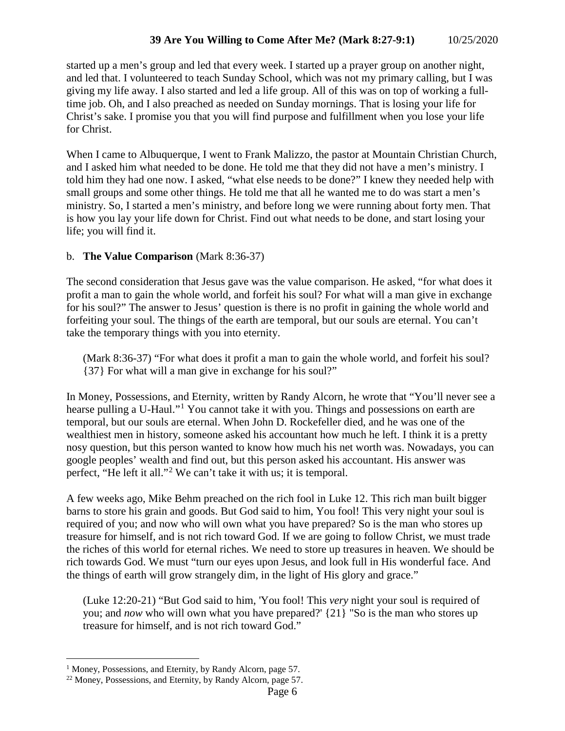started up a men's group and led that every week. I started up a prayer group on another night, and led that. I volunteered to teach Sunday School, which was not my primary calling, but I was giving my life away. I also started and led a life group. All of this was on top of working a fulltime job. Oh, and I also preached as needed on Sunday mornings. That is losing your life for Christ's sake. I promise you that you will find purpose and fulfillment when you lose your life for Christ.

When I came to Albuquerque, I went to Frank Malizzo, the pastor at Mountain Christian Church, and I asked him what needed to be done. He told me that they did not have a men's ministry. I told him they had one now. I asked, "what else needs to be done?" I knew they needed help with small groups and some other things. He told me that all he wanted me to do was start a men's ministry. So, I started a men's ministry, and before long we were running about forty men. That is how you lay your life down for Christ. Find out what needs to be done, and start losing your life; you will find it.

### b. **The Value Comparison** (Mark 8:36-37)

The second consideration that Jesus gave was the value comparison. He asked, "for what does it profit a man to gain the whole world, and forfeit his soul? For what will a man give in exchange for his soul?" The answer to Jesus' question is there is no profit in gaining the whole world and forfeiting your soul. The things of the earth are temporal, but our souls are eternal. You can't take the temporary things with you into eternity.

(Mark 8:36-37) "For what does it profit a man to gain the whole world, and forfeit his soul? {37} For what will a man give in exchange for his soul?"

In Money, Possessions, and Eternity, written by Randy Alcorn, he wrote that "You'll never see a hearse pulling a U-Haul."<sup>[1](#page-5-0)</sup> You cannot take it with you. Things and possessions on earth are temporal, but our souls are eternal. When John D. Rockefeller died, and he was one of the wealthiest men in history, someone asked his accountant how much he left. I think it is a pretty nosy question, but this person wanted to know how much his net worth was. Nowadays, you can google peoples' wealth and find out, but this person asked his accountant. His answer was perfect, "He left it all."[2](#page-5-1) We can't take it with us; it is temporal.

A few weeks ago, Mike Behm preached on the rich fool in Luke 12. This rich man built bigger barns to store his grain and goods. But God said to him, You fool! This very night your soul is required of you; and now who will own what you have prepared? So is the man who stores up treasure for himself, and is not rich toward God. If we are going to follow Christ, we must trade the riches of this world for eternal riches. We need to store up treasures in heaven. We should be rich towards God. We must "turn our eyes upon Jesus, and look full in His wonderful face. And the things of earth will grow strangely dim, in the light of His glory and grace."

(Luke 12:20-21) "But God said to him, 'You fool! This *very* night your soul is required of you; and *now* who will own what you have prepared?' {21} "So is the man who stores up treasure for himself, and is not rich toward God."

<span id="page-5-0"></span><sup>&</sup>lt;sup>1</sup> Money, Possessions, and Eternity, by Randy Alcorn, page 57.

<span id="page-5-1"></span><sup>&</sup>lt;sup>22</sup> Money, Possessions, and Eternity, by Randy Alcorn, page 57.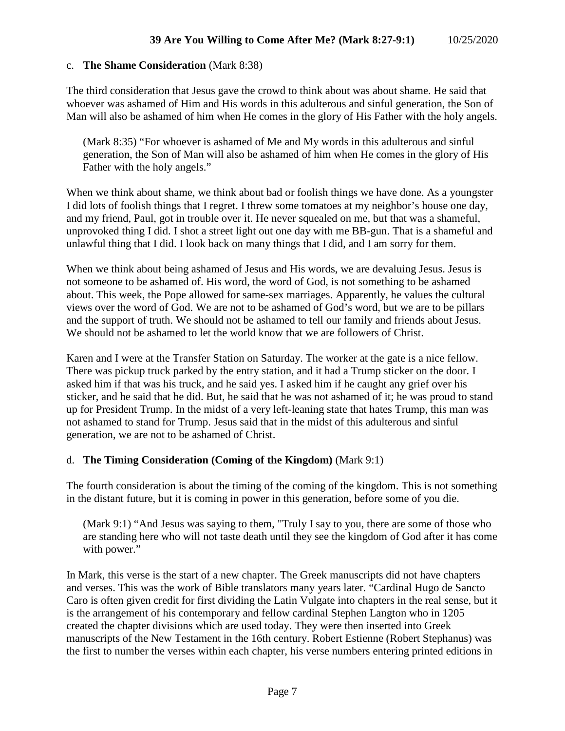#### c. **The Shame Consideration** (Mark 8:38)

The third consideration that Jesus gave the crowd to think about was about shame. He said that whoever was ashamed of Him and His words in this adulterous and sinful generation, the Son of Man will also be ashamed of him when He comes in the glory of His Father with the holy angels.

(Mark 8:35) "For whoever is ashamed of Me and My words in this adulterous and sinful generation, the Son of Man will also be ashamed of him when He comes in the glory of His Father with the holy angels."

When we think about shame, we think about bad or foolish things we have done. As a youngster I did lots of foolish things that I regret. I threw some tomatoes at my neighbor's house one day, and my friend, Paul, got in trouble over it. He never squealed on me, but that was a shameful, unprovoked thing I did. I shot a street light out one day with me BB-gun. That is a shameful and unlawful thing that I did. I look back on many things that I did, and I am sorry for them.

When we think about being ashamed of Jesus and His words, we are devaluing Jesus. Jesus is not someone to be ashamed of. His word, the word of God, is not something to be ashamed about. This week, the Pope allowed for same-sex marriages. Apparently, he values the cultural views over the word of God. We are not to be ashamed of God's word, but we are to be pillars and the support of truth. We should not be ashamed to tell our family and friends about Jesus. We should not be ashamed to let the world know that we are followers of Christ.

Karen and I were at the Transfer Station on Saturday. The worker at the gate is a nice fellow. There was pickup truck parked by the entry station, and it had a Trump sticker on the door. I asked him if that was his truck, and he said yes. I asked him if he caught any grief over his sticker, and he said that he did. But, he said that he was not ashamed of it; he was proud to stand up for President Trump. In the midst of a very left-leaning state that hates Trump, this man was not ashamed to stand for Trump. Jesus said that in the midst of this adulterous and sinful generation, we are not to be ashamed of Christ.

### d. **The Timing Consideration (Coming of the Kingdom)** (Mark 9:1)

The fourth consideration is about the timing of the coming of the kingdom. This is not something in the distant future, but it is coming in power in this generation, before some of you die.

(Mark 9:1) "And Jesus was saying to them, "Truly I say to you, there are some of those who are standing here who will not taste death until they see the kingdom of God after it has come with power."

In Mark, this verse is the start of a new chapter. The Greek manuscripts did not have chapters and verses. This was the work of Bible translators many years later. "Cardinal Hugo de Sancto Caro is often given credit for first dividing the Latin Vulgate into chapters in the real sense, but it is the arrangement of his contemporary and fellow cardinal Stephen Langton who in 1205 created the chapter divisions which are used today. They were then inserted into Greek manuscripts of the New Testament in the 16th century. Robert Estienne (Robert Stephanus) was the first to number the verses within each chapter, his verse numbers entering printed editions in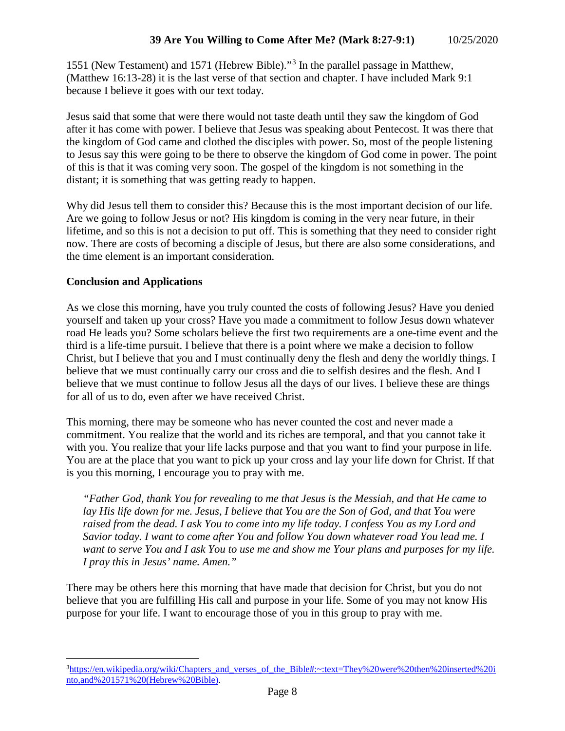1551 (New Testament) and 1571 (Hebrew Bible)."[3](#page-7-0) In the parallel passage in Matthew, (Matthew 16:13-28) it is the last verse of that section and chapter. I have included Mark 9:1 because I believe it goes with our text today.

Jesus said that some that were there would not taste death until they saw the kingdom of God after it has come with power. I believe that Jesus was speaking about Pentecost. It was there that the kingdom of God came and clothed the disciples with power. So, most of the people listening to Jesus say this were going to be there to observe the kingdom of God come in power. The point of this is that it was coming very soon. The gospel of the kingdom is not something in the distant; it is something that was getting ready to happen.

Why did Jesus tell them to consider this? Because this is the most important decision of our life. Are we going to follow Jesus or not? His kingdom is coming in the very near future, in their lifetime, and so this is not a decision to put off. This is something that they need to consider right now. There are costs of becoming a disciple of Jesus, but there are also some considerations, and the time element is an important consideration.

# **Conclusion and Applications**

As we close this morning, have you truly counted the costs of following Jesus? Have you denied yourself and taken up your cross? Have you made a commitment to follow Jesus down whatever road He leads you? Some scholars believe the first two requirements are a one-time event and the third is a life-time pursuit. I believe that there is a point where we make a decision to follow Christ, but I believe that you and I must continually deny the flesh and deny the worldly things. I believe that we must continually carry our cross and die to selfish desires and the flesh. And I believe that we must continue to follow Jesus all the days of our lives. I believe these are things for all of us to do, even after we have received Christ.

This morning, there may be someone who has never counted the cost and never made a commitment. You realize that the world and its riches are temporal, and that you cannot take it with you. You realize that your life lacks purpose and that you want to find your purpose in life. You are at the place that you want to pick up your cross and lay your life down for Christ. If that is you this morning, I encourage you to pray with me.

*"Father God, thank You for revealing to me that Jesus is the Messiah, and that He came to lay His life down for me. Jesus, I believe that You are the Son of God, and that You were raised from the dead. I ask You to come into my life today. I confess You as my Lord and Savior today. I want to come after You and follow You down whatever road You lead me. I want to serve You and I ask You to use me and show me Your plans and purposes for my life. I pray this in Jesus' name. Amen."*

There may be others here this morning that have made that decision for Christ, but you do not believe that you are fulfilling His call and purpose in your life. Some of you may not know His purpose for your life. I want to encourage those of you in this group to pray with me.

<span id="page-7-0"></span><sup>&</sup>lt;sup>-</sup><br>3 <sup>3</sup>https://en.wikipedia.org/wiki/Chapters and verses of the Bible#:~:text=They%20were%20then%20inserted%20i [nto,and%201571%20\(Hebrew%20Bible\).](https://en.wikipedia.org/wiki/Chapters_and_verses_of_the_Bible#:%7E:text=They%20were%20then%20inserted%20into,and%201571%20(Hebrew%20Bible))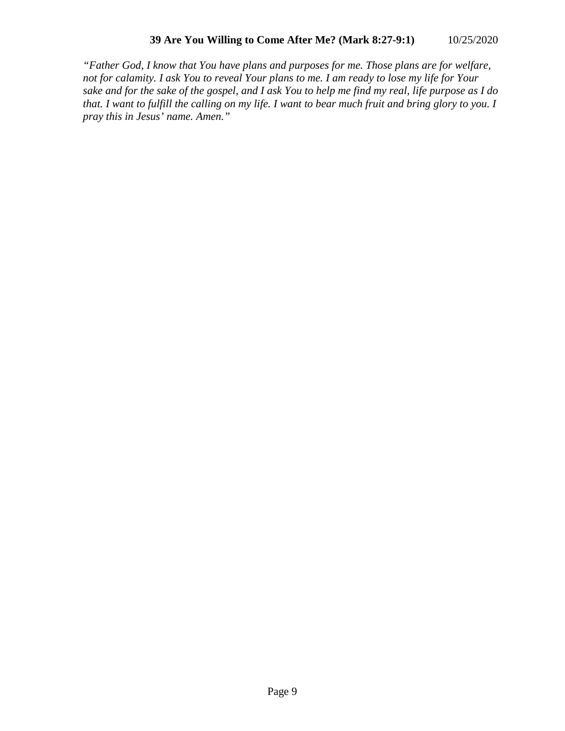*"Father God, I know that You have plans and purposes for me. Those plans are for welfare, not for calamity. I ask You to reveal Your plans to me. I am ready to lose my life for Your sake and for the sake of the gospel, and I ask You to help me find my real, life purpose as I do that. I want to fulfill the calling on my life. I want to bear much fruit and bring glory to you. I pray this in Jesus' name. Amen."*